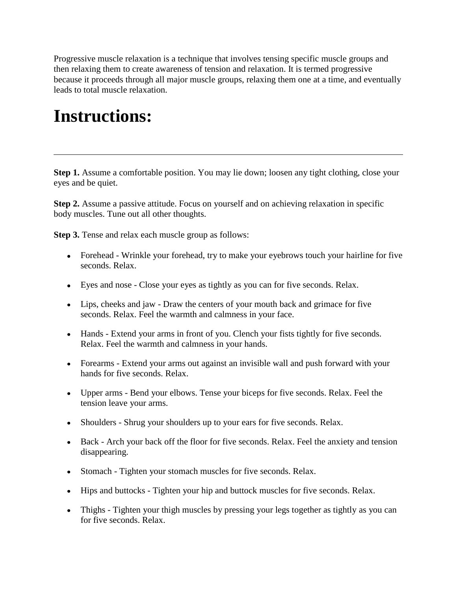Progressive muscle relaxation is a technique that involves tensing specific muscle groups and then relaxing them to create awareness of tension and relaxation. It is termed progressive because it proceeds through all major muscle groups, relaxing them one at a time, and eventually leads to total muscle relaxation.

## **Instructions:**

**Step 1.** Assume a comfortable position. You may lie down; loosen any tight clothing, close your eyes and be quiet.

**Step 2.** Assume a passive attitude. Focus on yourself and on achieving relaxation in specific body muscles. Tune out all other thoughts.

**Step 3.** Tense and relax each muscle group as follows:

- Forehead Wrinkle your forehead, try to make your eyebrows touch your hairline for five seconds. Relax.
- Eyes and nose Close your eyes as tightly as you can for five seconds. Relax.
- Lips, cheeks and jaw Draw the centers of your mouth back and grimace for five seconds. Relax. Feel the warmth and calmness in your face.
- Hands Extend your arms in front of you. Clench your fists tightly for five seconds. Relax. Feel the warmth and calmness in your hands.
- Forearms Extend your arms out against an invisible wall and push forward with your hands for five seconds. Relax.
- Upper arms Bend your elbows. Tense your biceps for five seconds. Relax. Feel the tension leave your arms.
- Shoulders Shrug your shoulders up to your ears for five seconds. Relax.
- Back Arch your back off the floor for five seconds. Relax. Feel the anxiety and tension disappearing.
- Stomach Tighten your stomach muscles for five seconds. Relax.
- Hips and buttocks Tighten your hip and buttock muscles for five seconds. Relax.
- Thighs Tighten your thigh muscles by pressing your legs together as tightly as you can for five seconds. Relax.